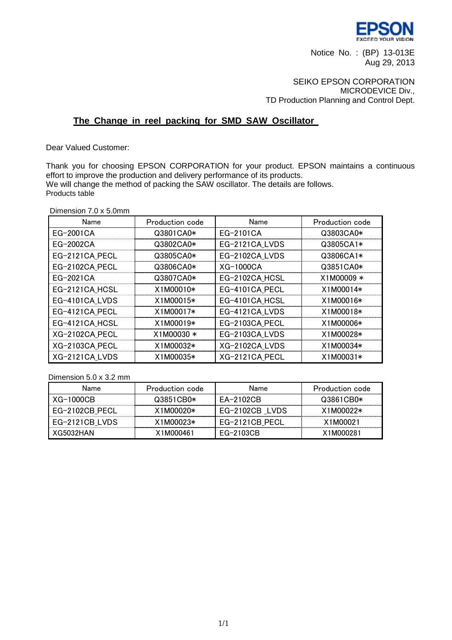

Notice No. : (BP) 13-013E Aug 29, 2013

## SEIKO EPSON CORPORATION MICRODEVICE Div., TD Production Planning and Control Dept.

# **The Change in reel packing for SMD SAW Oscillator**

Dear Valued Customer:

Thank you for choosing EPSON CORPORATION for your product. EPSON maintains a continuous effort to improve the production and delivery performance of its products. We will change the method of packing the SAW oscillator. The details are follows. Products table

Dimension 7.0 x 5.0mm

| Name           | Production code | Name           | Production code |
|----------------|-----------------|----------------|-----------------|
| EG-2001CA      | Q3801CA0*       | EG-2101CA      | Q3803CA0*       |
| EG-2002CA      | Q3802CA0*       | EG-2121CA LVDS | Q3805CA1*       |
| EG-2121CA PECL | Q3805CA0*       | EG-2102CA LVDS | Q3806CA1*       |
| EG-2102CA PECL | Q3806CA0*       | $XG-1000CA$    | Q3851CA0*       |
| EG-2021CA      | Q3807CA0*       | EG-2102CA HCSL | $X1M00009*$     |
| EG-2121CA HCSL | X1M00010*       | EG-4101CA PECL | X1M00014*       |
| EG-4101CA_LVDS | X1M00015*       | EG-4101CA_HCSL | X1M00016*       |
| EG-4121CA PECL | X1M00017*       | EG-4121CA LVDS | X1M00018*       |
| EG-4121CA_HCSL | X1M00019*       | EG-2103CA PECL | X1M00006*       |
| XG-2102CA PECL | X1M00030 *      | EG-2103CA_LVDS | X1M00028*       |
| XG-2103CA PECL | X1M00032*       | XG-2102CA LVDS | X1M00034*       |
| XG-2121CA LVDS | X1M00035*       | XG-2121CA PECL | X1M00031*       |

Dimension 5.0 x 3.2 mm

| Name           | Production code | Name           | Production code |
|----------------|-----------------|----------------|-----------------|
| $XG-1000CB$    | Q3851CB0*       | EA-2102CB      | Q3861CB0*       |
| EG-2102CB_PECL | $X1M00020*$     | EG-2102CB LVDS | $X1M00022*$     |
| EG-2121CB LVDS | $X1M00023*$     | EG-2121CB PECL | X1M00021        |
| XG5032HAN      | X1M000461       | FG-2103CB      | X1M000281       |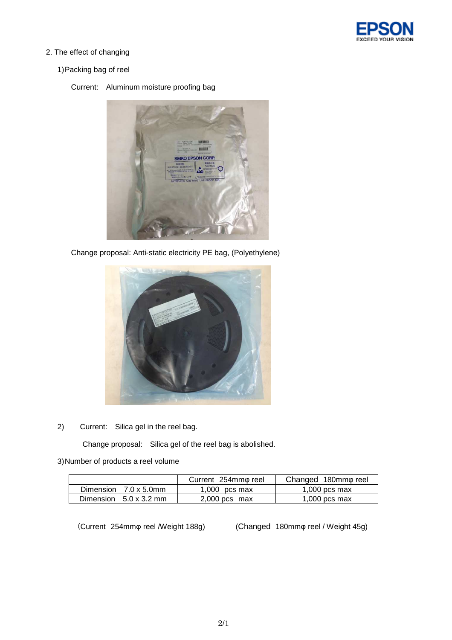

2. The effect of changing

## 1) Packing bag of reel

## Current: Aluminum moisture proofing bag



Change proposal: Anti-static electricity PE bag, (Polyethylene)



2) Current: Silica gel in the reel bag.

Change proposal: Silica gel of the reel bag is abolished.

#### 3) Number of products a reel volume

|                               | Current 254mmo reel | Changed 180mm <sub>o</sub> reel |
|-------------------------------|---------------------|---------------------------------|
| Dimension $7.0 \times 5.0$ mm | $1,000$ pcs max     | $1,000$ pcs max                 |
| Dimension $5.0 \times 3.2$ mm | $2,000$ pcs max     | $1,000$ pcs max                 |

(Current 254mmφ reel /Weight 188g) (Changed 180mmφ reel / Weight 45g)